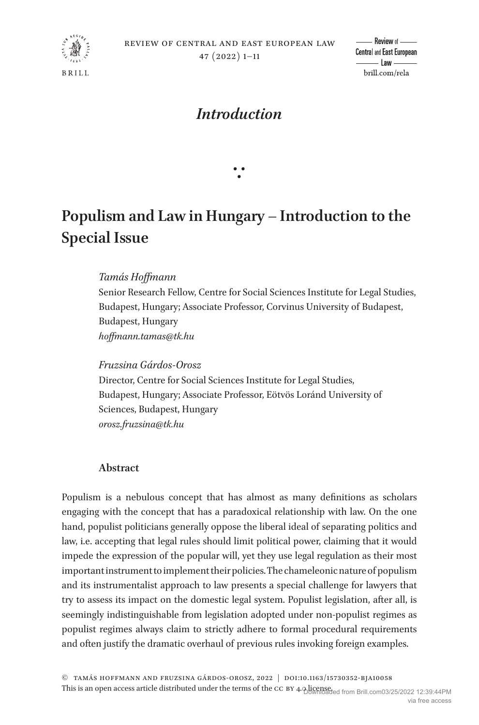

# *Introduction*

# **Populism and Law in Hungary – Introduction to the Special Issue**

∵

## *Tamás Hoffmann*

Senior Research Fellow, Centre for Social Sciences Institute for Legal Studies, Budapest, Hungary; Associate Professor, Corvinus University of Budapest, Budapest, Hungary *hoffmann.tamas@tk.hu* 

*Fruzsina Gárdos-Orosz* Director, Centre for Social Sciences Institute for Legal Studies, Budapest, Hungary; Associate Professor, Eötvös Loránd University of Sciences, Budapest, Hungary *orosz.fruzsina@tk.hu*

### **Abstract**

Populism is a nebulous concept that has almost as many definitions as scholars engaging with the concept that has a paradoxical relationship with law. On the one hand, populist politicians generally oppose the liberal ideal of separating politics and law, i.e. accepting that legal rules should limit political power, claiming that it would impede the expression of the popular will, yet they use legal regulation as their most important instrument to implement their policies. The chameleonic nature of populism and its instrumentalist approach to law presents a special challenge for lawyers that try to assess its impact on the domestic legal system. Populist legislation, after all, is seemingly indistinguishable from legislation adopted under non-populist regimes as populist regimes always claim to strictly adhere to formal procedural requirements and often justify the dramatic overhaul of previous rules invoking foreign examples.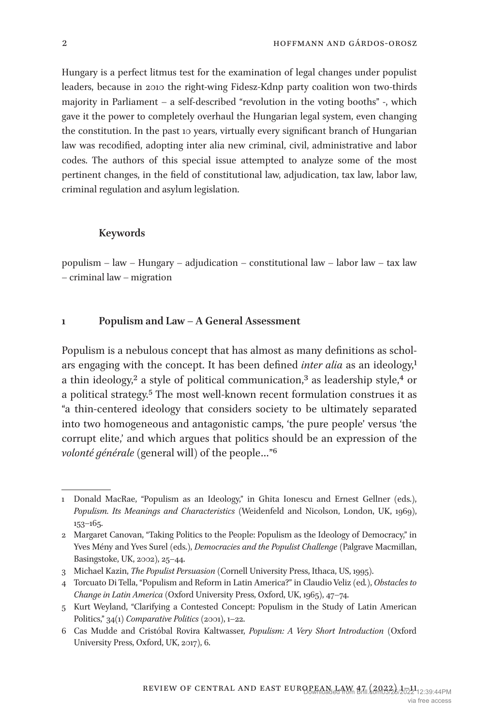Hungary is a perfect litmus test for the examination of legal changes under populist leaders, because in 2010 the right-wing Fidesz-Kdnp party coalition won two-thirds majority in Parliament – a self-described "revolution in the voting booths" -, which gave it the power to completely overhaul the Hungarian legal system, even changing the constitution. In the past 10 years, virtually every significant branch of Hungarian law was recodified, adopting inter alia new criminal, civil, administrative and labor codes. The authors of this special issue attempted to analyze some of the most pertinent changes, in the field of constitutional law, adjudication, tax law, labor law, criminal regulation and asylum legislation.

#### **Keywords**

populism – law – Hungary – adjudication – constitutional law – labor law – tax law – criminal law – migration

#### **1 Populism and Law – A General Assessment**

Populism is a nebulous concept that has almost as many definitions as scholars engaging with the concept. It has been defined *inter alia* as an ideology,<sup>[1](#page-1-0)</sup> a thin ideology,<sup>2</sup> a style of political communication,<sup>3</sup> as leadership style,<sup>4</sup> or a political strategy[.5](#page-1-4) The most well-known recent formulation construes it as "a thin-centered ideology that considers society to be ultimately separated into two homogeneous and antagonistic camps, 'the pure people' versus 'the corrupt elite,' and which argues that politics should be an expression of the *volonté générale* (general will) of the people…["6](#page-1-5)

<span id="page-1-0"></span><sup>1</sup> Donald MacRae, "Populism as an Ideology," in Ghita Ionescu and Ernest Gellner (eds.), *Populism. Its Meanings and Characteristics* (Weidenfeld and Nicolson, London, UK, 1969), 153–165.

<span id="page-1-1"></span><sup>2</sup> Margaret Canovan, "Taking Politics to the People: Populism as the Ideology of Democracy," in Yves Mény and Yves Surel (eds.), *Democracies and the Populist Challenge* (Palgrave Macmillan, Basingstoke, UK, 2002), 25–44.

<span id="page-1-2"></span><sup>3</sup> Michael Kazin, *The Populist Persuasion* (Cornell University Press, Ithaca, US, 1995).

<span id="page-1-3"></span><sup>4</sup> Torcuato Di Tella, "Populism and Reform in Latin America?" in Claudio Veliz (ed*.)*, *Obstacles to Change in Latin America* (Oxford University Press, Oxford, UK, 1965), 47–74.

<span id="page-1-4"></span><sup>5</sup> Kurt Weyland, "Clarifying a Contested Concept: Populism in the Study of Latin American Politics," 34(1) *Comparative Politics* (2001), 1–22.

<span id="page-1-5"></span><sup>6</sup> Cas Mudde and Cristóbal Rovira Kaltwasser, *Populism: A Very Short Introduction* (Oxford University Press, Oxford, UK, 2017), 6.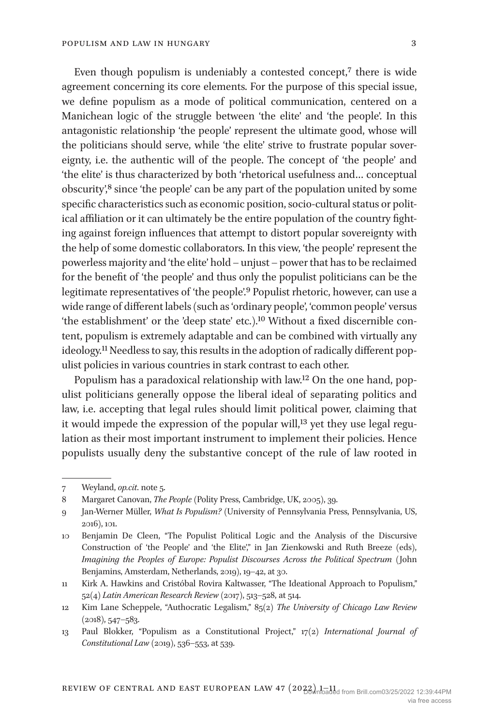Even though populism is undeniably a contested concept,<sup>7</sup> there is wide agreement concerning its core elements. For the purpose of this special issue, we define populism as a mode of political communication, centered on a Manichean logic of the struggle between 'the elite' and 'the people'. In this antagonistic relationship 'the people' represent the ultimate good, whose will the politicians should serve, while 'the elite' strive to frustrate popular sovereignty, i.e. the authentic will of the people. The concept of 'the people' and 'the elite' is thus characterized by both 'rhetorical usefulness and… conceptual obscurity',[8](#page-2-1) since 'the people' can be any part of the population united by some specific characteristics such as economic position, socio-cultural status or political affiliation or it can ultimately be the entire population of the country fighting against foreign influences that attempt to distort popular sovereignty with the help of some domestic collaborators. In this view, 'the people' represent the powerless majority and 'the elite' hold – unjust – power that has to be reclaimed for the benefit of 'the people' and thus only the populist politicians can be the legitimate representatives of 'the people'.[9](#page-2-2) Populist rhetoric, however, can use a wide range of different labels (such as 'ordinary people', 'common people' versus 'the establishment' or the 'deep state' etc.).[10](#page-2-3) Without a fixed discernible content, populism is extremely adaptable and can be combined with virtually any ideology[.11](#page-2-4) Needless to say, this results in the adoption of radically different populist policies in various countries in stark contrast to each other.

Populism has a paradoxical relationship with law[.12](#page-2-5) On the one hand, populist politicians generally oppose the liberal ideal of separating politics and law, i.e. accepting that legal rules should limit political power, claiming that it would impede the expression of the popular will[,13](#page-2-6) yet they use legal regulation as their most important instrument to implement their policies. Hence populists usually deny the substantive concept of the rule of law rooted in

<span id="page-2-0"></span><sup>7</sup> Weyland, *op.cit*. note 5.

<span id="page-2-1"></span><sup>8</sup> Margaret Canovan, *The People* (Polity Press, Cambridge, UK, 2005), 39.

<span id="page-2-2"></span><sup>9</sup> Jan-Werner Müller, *What Is Populism?* (University of Pennsylvania Press, Pennsylvania, US, 2016), 101.

<span id="page-2-3"></span><sup>10</sup> Benjamin De Cleen, "The Populist Political Logic and the Analysis of the Discursive Construction of 'the People' and 'the Elite'," in Jan Zienkowski and Ruth Breeze (eds), *Imagining the Peoples of Europe: Populist Discourses Across the Political Spectrum* (John Benjamins, Amsterdam, Netherlands, 2019), 19–42, at 30.

<span id="page-2-4"></span><sup>11</sup> Kirk A. Hawkins and Cristóbal Rovira Kaltwasser, "The Ideational Approach to Populism," 52(4) *Latin American Research Review* (2017), 513–528, at 514.

<span id="page-2-5"></span><sup>12</sup> Kim Lane Scheppele, "Authocratic Legalism," 85(2) *The University of Chicago Law Review* (2018), 547–583.

<span id="page-2-6"></span><sup>13</sup> Paul Blokker, "Populism as a Constitutional Project," 17(2) *International Journal of Constitutional Law* (2019), 536–553, at 539.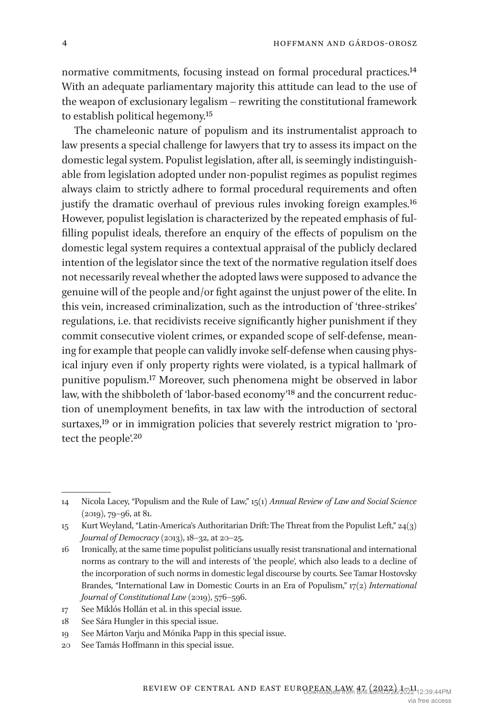normative commitments, focusing instead on formal procedural practices.[14](#page-3-0) With an adequate parliamentary majority this attitude can lead to the use of the weapon of exclusionary legalism – rewriting the constitutional framework to establish political hegemony.[15](#page-3-1)

The chameleonic nature of populism and its instrumentalist approach to law presents a special challenge for lawyers that try to assess its impact on the domestic legal system. Populist legislation, after all, is seemingly indistinguishable from legislation adopted under non-populist regimes as populist regimes always claim to strictly adhere to formal procedural requirements and often justify the dramatic overhaul of previous rules invoking foreign examples.<sup>[16](#page-3-2)</sup> However, populist legislation is characterized by the repeated emphasis of fulfilling populist ideals, therefore an enquiry of the effects of populism on the domestic legal system requires a contextual appraisal of the publicly declared intention of the legislator since the text of the normative regulation itself does not necessarily reveal whether the adopted laws were supposed to advance the genuine will of the people and/or fight against the unjust power of the elite. In this vein, increased criminalization, such as the introduction of 'three-strikes' regulations, i.e. that recidivists receive significantly higher punishment if they commit consecutive violent crimes, or expanded scope of self-defense, meaning for example that people can validly invoke self-defense when causing physical injury even if only property rights were violated, is a typical hallmark of punitive populism.[17](#page-3-3) Moreover, such phenomena might be observed in labor law, with the shibboleth of 'labor-based economy['18](#page-3-4) and the concurrent reduction of unemployment benefits, in tax law with the introduction of sectoral surtaxes,<sup>19</sup> or in immigration policies that severely restrict migration to 'protect the people'[.20](#page-3-6)

<span id="page-3-0"></span><sup>14</sup> Nicola Lacey, "Populism and the Rule of Law," 15(1) *Annual Review of Law and Social Science* (2019), 79–96, at 81.

<span id="page-3-1"></span><sup>15</sup> Kurt Weyland, "Latin-America's Authoritarian Drift: The Threat from the Populist Left," 24(3) *Journal of Democracy* (2013), 18–32, at 20–25.

<span id="page-3-2"></span><sup>16</sup> Ironically, at the same time populist politicians usually resist transnational and international norms as contrary to the will and interests of 'the people', which also leads to a decline of the incorporation of such norms in domestic legal discourse by courts. See Tamar Hostovsky Brandes, "International Law in Domestic Courts in an Era of Populism," 17(2) *International Journal of Constitutional Law* (2019), 576–596.

<span id="page-3-3"></span><sup>17</sup> See Miklós Hollán et al. in this special issue.

<span id="page-3-4"></span><sup>18</sup> See Sára Hungler in this special issue.

<span id="page-3-5"></span><sup>19</sup> See Márton Varju and Mónika Papp in this special issue.

<span id="page-3-6"></span><sup>20</sup> See Tamás Hoffmann in this special issue.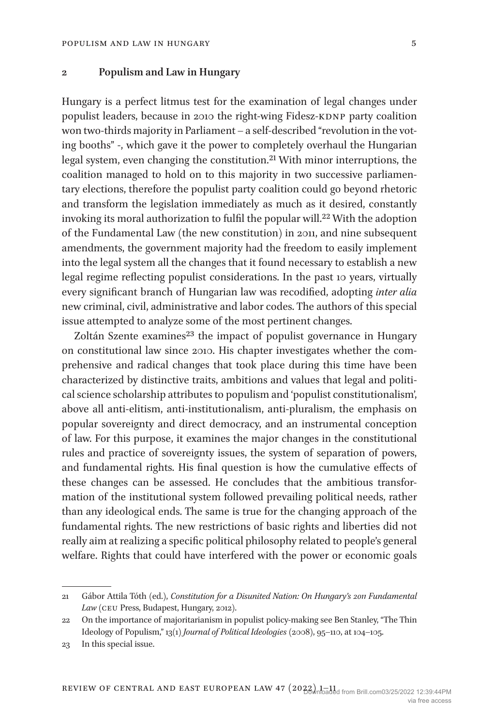#### **2 Populism and Law in Hungary**

Hungary is a perfect litmus test for the examination of legal changes under populist leaders, because in 2010 the right-wing Fidesz-KDNP party coalition won two-thirds majority in Parliament – a self-described "revolution in the voting booths" -, which gave it the power to completely overhaul the Hungarian legal system, even changing the constitution.[21](#page-4-0) With minor interruptions, the coalition managed to hold on to this majority in two successive parliamentary elections, therefore the populist party coalition could go beyond rhetoric and transform the legislation immediately as much as it desired, constantly invoking its moral authorization to fulfil the popular will.<sup>[22](#page-4-1)</sup> With the adoption of the Fundamental Law (the new constitution) in 2011, and nine subsequent amendments, the government majority had the freedom to easily implement into the legal system all the changes that it found necessary to establish a new legal regime reflecting populist considerations. In the past 10 years, virtually every significant branch of Hungarian law was recodified, adopting *inter alia* new criminal, civil, administrative and labor codes. The authors of this special issue attempted to analyze some of the most pertinent changes.

Zoltán Szente examines<sup>[23](#page-4-2)</sup> the impact of populist governance in Hungary on constitutional law since 2010. His chapter investigates whether the comprehensive and radical changes that took place during this time have been characterized by distinctive traits, ambitions and values that legal and political science scholarship attributes to populism and 'populist constitutionalism', above all anti-elitism, anti-institutionalism, anti-pluralism, the emphasis on popular sovereignty and direct democracy, and an instrumental conception of law. For this purpose, it examines the major changes in the constitutional rules and practice of sovereignty issues, the system of separation of powers, and fundamental rights. His final question is how the cumulative effects of these changes can be assessed. He concludes that the ambitious transformation of the institutional system followed prevailing political needs, rather than any ideological ends. The same is true for the changing approach of the fundamental rights. The new restrictions of basic rights and liberties did not really aim at realizing a specific political philosophy related to people's general welfare. Rights that could have interfered with the power or economic goals

<span id="page-4-0"></span><sup>21</sup> Gábor Attila Tóth (ed.), *Constitution for a Disunited Nation: On Hungary's 2011 Fundamental*  Law (CEU Press, Budapest, Hungary, 2012).

<span id="page-4-1"></span><sup>22</sup> On the importance of majoritarianism in populist policy-making see Ben Stanley, "The Thin Ideology of Populism," 13(1) *Journal of Political Ideologies* (2008), 95–110, at 104–105.

<span id="page-4-2"></span><sup>23</sup> In this special issue.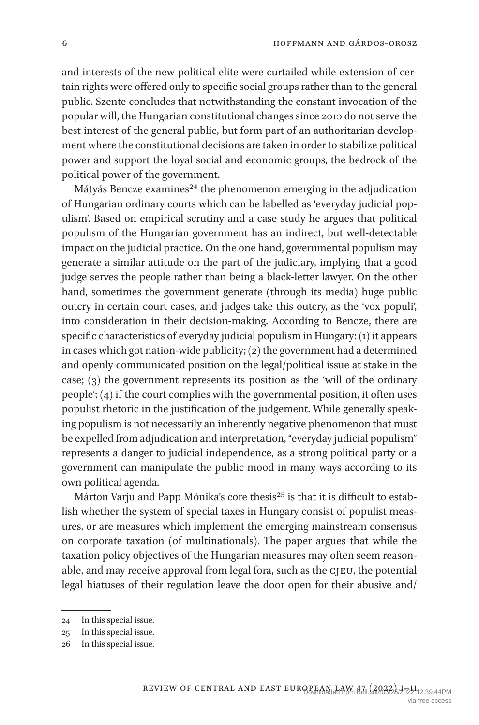and interests of the new political elite were curtailed while extension of certain rights were offered only to specific social groups rather than to the general public. Szente concludes that notwithstanding the constant invocation of the popular will, the Hungarian constitutional changes since 2010 do not serve the best interest of the general public, but form part of an authoritarian development where the constitutional decisions are taken in order to stabilize political power and support the loyal social and economic groups, the bedrock of the political power of the government.

Mátyás Bencze examines<sup>24</sup> the phenomenon emerging in the adjudication of Hungarian ordinary courts which can be labelled as 'everyday judicial populism'. Based on empirical scrutiny and a case study he argues that political populism of the Hungarian government has an indirect, but well-detectable impact on the judicial practice. On the one hand, governmental populism may generate a similar attitude on the part of the judiciary, implying that a good judge serves the people rather than being a black-letter lawyer. On the other hand, sometimes the government generate (through its media) huge public outcry in certain court cases, and judges take this outcry, as the 'vox populi', into consideration in their decision-making. According to Bencze, there are specific characteristics of everyday judicial populism in Hungary: (1) it appears in cases which got nation-wide publicity; (2) the government had a determined and openly communicated position on the legal/political issue at stake in the case; (3) the government represents its position as the 'will of the ordinary people'; (4) if the court complies with the governmental position, it often uses populist rhetoric in the justification of the judgement. While generally speaking populism is not necessarily an inherently negative phenomenon that must be expelled from adjudication and interpretation, "everyday judicial populism" represents a danger to judicial independence, as a strong political party or a government can manipulate the public mood in many ways according to its own political agenda.

Márton Varju and Papp Mónika's core thesis<sup>[25](#page-5-1)</sup> is that it is difficult to establish whether the system of special taxes in Hungary consist of populist measures, or are measures which implement the emerging mainstream consensus on corporate taxation (of multinationals). The paper argues that while the taxation policy objectives of the Hungarian measures may often seem reasonable, and may receive approval from legal fora, such as the cjeu, the potential legal hiatuses of their regulation leave the door open for their abusive and/

<span id="page-5-0"></span><sup>24</sup> In this special issue.

<span id="page-5-1"></span><sup>25</sup> In this special issue.

<span id="page-5-2"></span><sup>26</sup> In this special issue.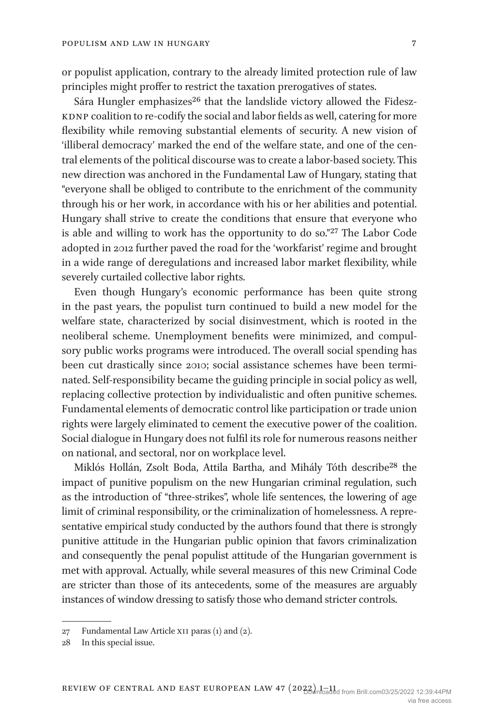or populist application, contrary to the already limited protection rule of law principles might proffer to restrict the taxation prerogatives of states.

Sára Hungler emphasizes<sup>26</sup> that the landslide victory allowed the Fidesz-KDNP coalition to re-codify the social and labor fields as well, catering for more flexibility while removing substantial elements of security. A new vision of 'illiberal democracy' marked the end of the welfare state, and one of the central elements of the political discourse was to create a labor-based society. This new direction was anchored in the Fundamental Law of Hungary, stating that "everyone shall be obliged to contribute to the enrichment of the community through his or her work, in accordance with his or her abilities and potential. Hungary shall strive to create the conditions that ensure that everyone who is able and willing to work has the opportunity to do so.["27](#page-6-0) The Labor Code adopted in 2012 further paved the road for the 'workfarist' regime and brought in a wide range of deregulations and increased labor market flexibility, while severely curtailed collective labor rights.

Even though Hungary's economic performance has been quite strong in the past years, the populist turn continued to build a new model for the welfare state, characterized by social disinvestment, which is rooted in the neoliberal scheme. Unemployment benefits were minimized, and compulsory public works programs were introduced. The overall social spending has been cut drastically since 2010; social assistance schemes have been terminated. Self-responsibility became the guiding principle in social policy as well, replacing collective protection by individualistic and often punitive schemes. Fundamental elements of democratic control like participation or trade union rights were largely eliminated to cement the executive power of the coalition. Social dialogue in Hungary does not fulfil its role for numerous reasons neither on national, and sectoral, nor on workplace level.

Miklós Hollán, Zsolt Boda, Attila Bartha, and Mihály Tóth describ[e28](#page-6-1) the impact of punitive populism on the new Hungarian criminal regulation, such as the introduction of "three-strikes", whole life sentences, the lowering of age limit of criminal responsibility, or the criminalization of homelessness. A representative empirical study conducted by the authors found that there is strongly punitive attitude in the Hungarian public opinion that favors criminalization and consequently the penal populist attitude of the Hungarian government is met with approval. Actually, while several measures of this new Criminal Code are stricter than those of its antecedents, some of the measures are arguably instances of window dressing to satisfy those who demand stricter controls.

<span id="page-6-0"></span><sup>27</sup> Fundamental Law Article xii paras (1) and (2).

<span id="page-6-1"></span><sup>28</sup> In this special issue.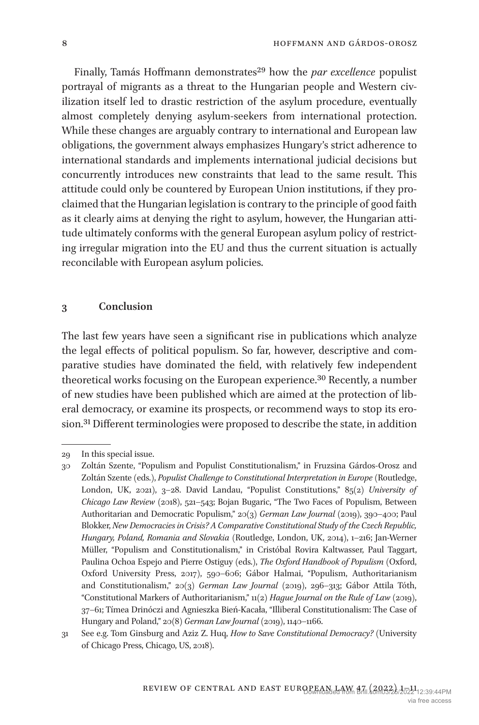Finally, Tamás Hoffmann demonstrates<sup>29</sup> how the *par excellence* populist portrayal of migrants as a threat to the Hungarian people and Western civilization itself led to drastic restriction of the asylum procedure, eventually almost completely denying asylum-seekers from international protection. While these changes are arguably contrary to international and European law obligations, the government always emphasizes Hungary's strict adherence to international standards and implements international judicial decisions but concurrently introduces new constraints that lead to the same result. This attitude could only be countered by European Union institutions, if they proclaimed that the Hungarian legislation is contrary to the principle of good faith as it clearly aims at denying the right to asylum, however, the Hungarian attitude ultimately conforms with the general European asylum policy of restricting irregular migration into the EU and thus the current situation is actually reconcilable with European asylum policies.

#### **3 Conclusion**

The last few years have seen a significant rise in publications which analyze the legal effects of political populism. So far, however, descriptive and comparative studies have dominated the field, with relatively few independent theoretical works focusing on the European experience.<sup>30</sup> Recently, a number of new studies have been published which are aimed at the protection of liberal democracy, or examine its prospects, or recommend ways to stop its erosion.[31](#page-7-2) Different terminologies were proposed to describe the state, in addition

<span id="page-7-0"></span><sup>29</sup> In this special issue.

<span id="page-7-1"></span><sup>30</sup> Zoltán Szente, "Populism and Populist Constitutionalism," in Fruzsina Gárdos-Orosz and Zoltán Szente (eds.), *Populist Challenge to Constitutional Interpretation in Europe* (Routledge, London, UK, 2021), 3–28. David Landau, "Populist Constitutions," 85(2) *University of Chicago Law Review* (2018), 521–543; Bojan Bugaric, "The Two Faces of Populism, Between Authoritarian and Democratic Populism," 20(3) *German Law Journal* (2019), 390–400; Paul Blokker, *New Democracies in Crisis? A Comparative Constitutional Study of the Czech Republic, Hungary, Poland, Romania and Slovakia* (Routledge, London, UK, 2014), 1–216; Jan-Werner Müller, "Populism and Constitutionalism," in Cristóbal Rovira Kaltwasser, Paul Taggart, Paulina Ochoa Espejo and Pierre Ostiguy (eds.), *The Oxford Handbook of Populism* (Oxford, Oxford University Press, 2017), 590–606; Gábor Halmai, "Populism, Authoritarianism and Constitutionalism," 20(3) *German Law Journal* (2019), 296–313; Gábor Attila Tóth, "Constitutional Markers of Authoritarianism," 11(2) *Hague Journal on the Rule of Law* (2019), 37–61; Tímea Drinóczi and Agnieszka Bień-Kacała, "Illiberal Constitutionalism: The Case of Hungary and Poland," 20(8) *German Law Journal* (2019), 1140-1166.

<span id="page-7-2"></span><sup>31</sup> See e.g. Tom Ginsburg and Aziz Z. Huq, *How to Save Constitutional Democracy?* (University of Chicago Press, Chicago, US, 2018).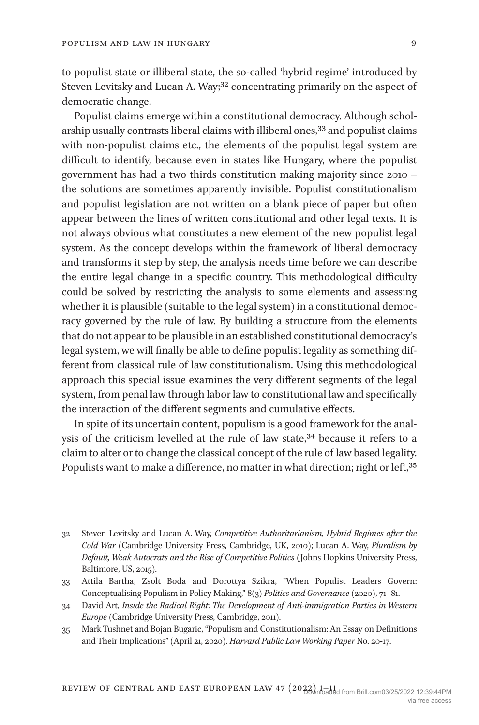to populist state or illiberal state, the so-called 'hybrid regime' introduced by Steven Levitsky and Lucan A. Way;<sup>32</sup> concentrating primarily on the aspect of democratic change.

Populist claims emerge within a constitutional democracy. Although scholarship usually contrasts liberal claims with illiberal ones,<sup>33</sup> and populist claims with non-populist claims etc., the elements of the populist legal system are difficult to identify, because even in states like Hungary, where the populist government has had a two thirds constitution making majority since 2010 – the solutions are sometimes apparently invisible. Populist constitutionalism and populist legislation are not written on a blank piece of paper but often appear between the lines of written constitutional and other legal texts. It is not always obvious what constitutes a new element of the new populist legal system. As the concept develops within the framework of liberal democracy and transforms it step by step, the analysis needs time before we can describe the entire legal change in a specific country. This methodological difficulty could be solved by restricting the analysis to some elements and assessing whether it is plausible (suitable to the legal system) in a constitutional democracy governed by the rule of law. By building a structure from the elements that do not appear to be plausible in an established constitutional democracy's legal system, we will finally be able to define populist legality as something different from classical rule of law constitutionalism. Using this methodological approach this special issue examines the very different segments of the legal system, from penal law through labor law to constitutional law and specifically the interaction of the different segments and cumulative effects.

In spite of its uncertain content, populism is a good framework for the analysis of the criticism levelled at the rule of law state,<sup>34</sup> because it refers to a claim to alter or to change the classical concept of the rule of law based legality. Populists want to make a difference, no matter in what direction; right or left, 35

<span id="page-8-0"></span><sup>32</sup> Steven Levitsky and Lucan A. Way, *Competitive Authoritarianism, Hybrid Regimes after the Cold War* (Cambridge University Press, Cambridge, UK, 2010); Lucan A. Way, *Pluralism by Default, Weak Autocrats and the Rise of Competitive Politics* (Johns Hopkins University Press, Baltimore, US, 2015).

<span id="page-8-1"></span><sup>33</sup> Attila Bartha, Zsolt Boda and Dorottya Szikra, "When Populist Leaders Govern: Conceptualising Populism in Policy Making," 8(3) *Politics and Governance* (2020), 71–81.

<span id="page-8-2"></span><sup>34</sup> David Art, *Inside the Radical Right: The Development of Anti-immigration Parties in Western Europe* (Cambridge University Press, Cambridge, 2011).

<span id="page-8-3"></span><sup>35</sup> Mark Tushnet and Bojan Bugaric, "Populism and Constitutionalism: An Essay on Definitions and Their Implications" (April 21, 2020). *Harvard Public Law Working Paper* No. 20-17.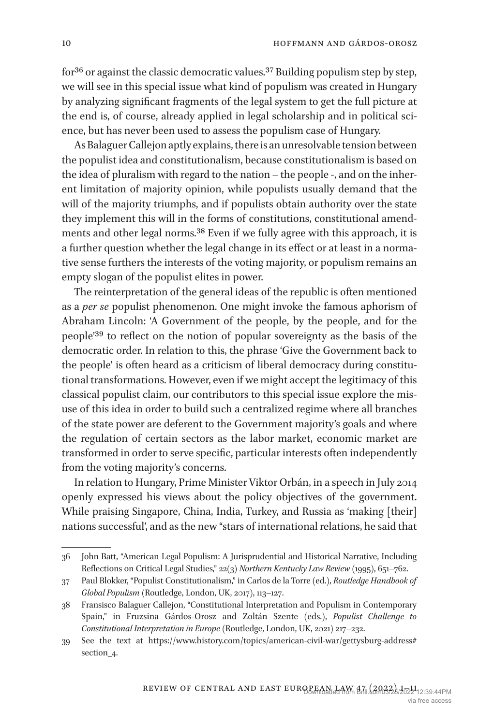for<sup>[36](#page-9-0)</sup> or against the classic democratic values.<sup>[37](#page-9-1)</sup> Building populism step by step, we will see in this special issue what kind of populism was created in Hungary by analyzing significant fragments of the legal system to get the full picture at the end is, of course, already applied in legal scholarship and in political science, but has never been used to assess the populism case of Hungary.

As Balaguer Callejon aptly explains, there is an unresolvable tension between the populist idea and constitutionalism, because constitutionalism is based on the idea of pluralism with regard to the nation – the people -, and on the inherent limitation of majority opinion, while populists usually demand that the will of the majority triumphs, and if populists obtain authority over the state they implement this will in the forms of constitutions, constitutional amendments and other legal norms[.38](#page-9-2) Even if we fully agree with this approach, it is a further question whether the legal change in its effect or at least in a normative sense furthers the interests of the voting majority, or populism remains an empty slogan of the populist elites in power.

The reinterpretation of the general ideas of the republic is often mentioned as a *per se* populist phenomenon. One might invoke the famous aphorism of Abraham Lincoln: 'A Government of the people, by the people, and for the people['39](#page-9-3) to reflect on the notion of popular sovereignty as the basis of the democratic order. In relation to this, the phrase 'Give the Government back to the people' is often heard as a criticism of liberal democracy during constitutional transformations. However, even if we might accept the legitimacy of this classical populist claim, our contributors to this special issue explore the misuse of this idea in order to build such a centralized regime where all branches of the state power are deferent to the Government majority's goals and where the regulation of certain sectors as the labor market, economic market are transformed in order to serve specific, particular interests often independently from the voting majority's concerns.

In relation to Hungary, Prime Minister Viktor Orbán, in a speech in July 2014 openly expressed his views about the policy objectives of the government. While praising Singapore, China, India, Turkey, and Russia as 'making [their] nations successful', and as the new "stars of international relations, he said that

<span id="page-9-0"></span><sup>36</sup> John Batt, "American Legal Populism: A Jurisprudential and Historical Narrative, Including Reflections on Critical Legal Studies," 22(3) *Northern Kentucky Law Review* (1995), 651–762.

<span id="page-9-1"></span><sup>37</sup> Paul Blokker, "Populist Constitutionalism," in Carlos de la Torre (ed.), *Routledge Handbook of Global Populism* (Routledge, London, UK, 2017), 113–127.

<span id="page-9-2"></span><sup>38</sup> Fransisco Balaguer Callejon, "Constitutional Interpretation and Populism in Contemporary Spain," in Fruzsina Gárdos-Orosz and Zoltán Szente (eds.), *Populist Challenge to Constitutional Interpretation in Europe* (Routledge, London, UK, 2021) 217**–**232.

<span id="page-9-3"></span><sup>39</sup> See the text at [https://www.history.com/topics/american-civil-war/gettysburg-address#](https://www.history.com/topics/american-civil-war/gettysburg-address#section_4) [section\\_4.](https://www.history.com/topics/american-civil-war/gettysburg-address#section_4)